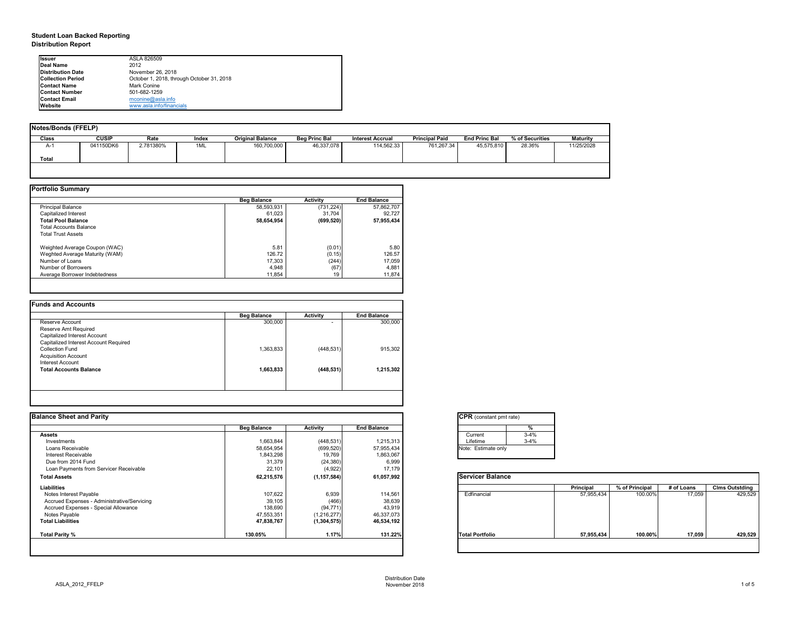## **Student Loan Backed Reporting Distribution Report**

| Notes/Bonds (FFELP) |              |           |       |                         |                      |                         |                       |                      |                 |                 |
|---------------------|--------------|-----------|-------|-------------------------|----------------------|-------------------------|-----------------------|----------------------|-----------------|-----------------|
| Class               | <b>CUSIP</b> | Rate      | Index | <b>Original Balance</b> | <b>Beg Princ Bal</b> | <b>Interest Accrual</b> | <b>Principal Paid</b> | <b>End Princ Bal</b> | % of Securities | <b>Maturity</b> |
| A-1                 | 041150DK6    | 2.781380% | 1ML   | 160,700,000             | 46,337,078           | 114,562.33              | 761,267.34            | 45,575,810           | 28.36%          | 11/25/2028      |
| <b>Total</b>        |              |           |       |                         |                      |                         |                       |                      |                 |                 |
|                     |              |           |       |                         |                      |                         |                       |                      |                 |                 |

|                                | <b>Beg Balance</b> | <b>Activity</b> | <b>End Balance</b> |
|--------------------------------|--------------------|-----------------|--------------------|
| <b>Principal Balance</b>       | 58,593,931         | (731, 224)      | 57,862,707         |
| Capitalized Interest           | 61,023             | 31,704          | 92,727             |
| <b>Total Pool Balance</b>      | 58,654,954         | (699, 520)      | 57,955,434         |
| <b>Total Accounts Balance</b>  |                    |                 |                    |
| <b>Total Trust Assets</b>      |                    |                 |                    |
| Weighted Average Coupon (WAC)  | 5.81               | (0.01)          | 5.80               |
| Weghted Average Maturity (WAM) | 126.72             | (0.15)          | 126.57             |
| Number of Loans                | 17,303             | (244)           | 17,059             |
| Number of Borrowers            | 4,948              | (67)            | 4,881              |
| Average Borrower Indebtedness  | 11,854             | 19              | 11,874             |

| 300,000   |                |           |
|-----------|----------------|-----------|
|           | $\blacksquare$ | 300,000   |
|           |                |           |
|           |                |           |
|           |                |           |
| 1,363,833 | (448, 531)     | 915,302   |
|           |                |           |
|           |                |           |
| 1,663,833 | (448, 531)     | 1,215,302 |
|           |                |           |
|           |                |           |

| <b>Ilssuer</b>           | ASLA 826509                               |
|--------------------------|-------------------------------------------|
| Deal Name                | 2012                                      |
| Distribution Date        | November 26, 2018                         |
| <b>Collection Period</b> | October 1, 2018, through October 31, 2018 |
| <b>Contact Name</b>      | Mark Conine                               |
| <b>IContact Number</b>   | 501-682-1259                              |
| <b>Contact Email</b>     | $m$ conine@asla.info                      |
| <b>IWebsite</b>          | www.asla.info/financials                  |

| <b>Beg Balance</b> | <b>Activity</b> | <b>End Balance</b> |                        | %        |                                                           |                |            |                       |
|--------------------|-----------------|--------------------|------------------------|----------|-----------------------------------------------------------|----------------|------------|-----------------------|
|                    |                 |                    | Current                | $3 - 4%$ |                                                           |                |            |                       |
| 1,663,844          | (448, 531)      | 1,215,313          | Lifetime               | $3 - 4%$ |                                                           |                |            |                       |
| 58,654,954         | (699, 520)      | 57,955,434         | Note: Estimate only    |          |                                                           |                |            |                       |
| 1,843,298          | 19,769          | 1,863,067          |                        |          |                                                           |                |            |                       |
|                    |                 |                    |                        |          |                                                           |                |            |                       |
| 22,101             | (4,922)         | 17,179             |                        |          |                                                           |                |            |                       |
| 62,215,576         | (1, 157, 584)   | 61,057,992         |                        |          |                                                           |                |            |                       |
|                    |                 |                    |                        |          | <b>Principal</b>                                          | % of Principal | # of Loans | <b>Clms Outstding</b> |
| 107,622            | 6,939           | 114,561            | Edfinancial            |          | 57,955,434                                                | 100.00%        | 17,059     | 429,529               |
| 39,105             | (466)           | 38,639             |                        |          |                                                           |                |            |                       |
| 138,690            | (94, 771)       | 43,919             |                        |          |                                                           |                |            |                       |
| 47,553,351         | (1,216,277)     | 46,337,073         |                        |          |                                                           |                |            |                       |
| 47,838,767         | (1, 304, 575)   | 46,534,192         |                        |          |                                                           |                |            |                       |
| 130.05%            | 1.17%           | 131.22%            | <b>Total Portfolio</b> |          | 57,955,434                                                | 100.00%        | 17,059     | 429,529               |
|                    | 31,379          | (24, 380)          | 6,999                  |          | <b>CPR</b> (constant pmt rate)<br><b>Servicer Balance</b> |                |            |                       |

| tant pmt rate) |          |
|----------------|----------|
|                |          |
|                | $\%$     |
|                | $3 - 4%$ |
|                | $3 - 4%$ |
| ate only       |          |
|                |          |

|      | <b>Principal</b> | % of Principal | # of Loans | <b>Clms Outstding</b> |  |  |
|------|------------------|----------------|------------|-----------------------|--|--|
| al   | 57,955,434       | 100.00%        | 17,059     | 429,529               |  |  |
| oilc | 57,955,434       | 100.00%        | 17,059     | 429,529               |  |  |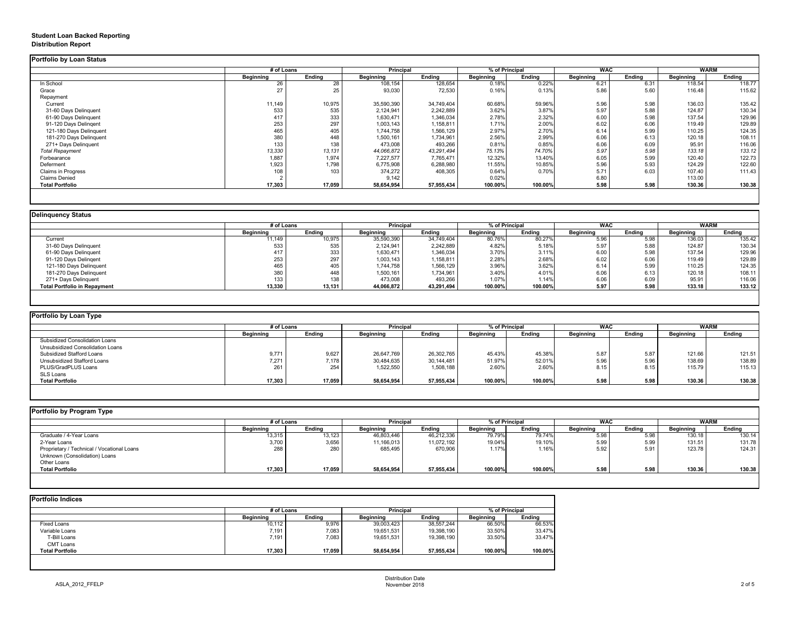### **Student Loan Backed Reporting Distribution Report**

|                           | # of Loans       |               | Principal        |               | % of Principal   |               | <b>WAC</b>       |               | <b>WARM</b>      |               |
|---------------------------|------------------|---------------|------------------|---------------|------------------|---------------|------------------|---------------|------------------|---------------|
|                           | <b>Beginning</b> | <b>Ending</b> | <b>Beginning</b> | <b>Ending</b> | <b>Beginning</b> | <b>Ending</b> | <b>Beginning</b> | <b>Ending</b> | <b>Beginning</b> | <b>Ending</b> |
| In School                 | 26               | 28            | 108,154          | 128,654       | 0.18%            | 0.22%         | 6.21             | 6.31          | 118.54           | 118.77        |
| Grace                     | 27               | 25            | 93,030           | 72,530        | 0.16%            | 0.13%         | 5.86             | 5.60          | 116.48           | 115.62        |
| Repayment                 |                  |               |                  |               |                  |               |                  |               |                  |               |
| Current                   | 11,149           | 10,975        | 35,590,390       | 34,749,404    | 60.68%           | 59.96%        | 5.96             | 5.98          | 136.03           | 135.42        |
| 31-60 Days Delinquent     | 533              | 535           | 2,124,941        | 2,242,889     | 3.62%            | 3.87%         | 5.97             | 5.88          | 124.87           | 130.34        |
| 61-90 Days Delinquent     | 417              | 333           | 1,630,471        | 1,346,034     | 2.78%            | 2.32%         | 6.00             | 5.98          | 137.54           | 129.96        |
| 91-120 Days Delingent     | 253              | 297           | 1,003,143        | 1,158,811     | 1.71%            | 2.00%         | 6.02             | 6.06          | 119.49           | 129.89        |
| 121-180 Days Delinquent   | 465              | 405           | 1,744,758        | 1,566,129     | 2.97%            | 2.70%         | 6.14             | 5.99          | 110.25           | 124.35        |
| 181-270 Days Delinquent   | 380              | 448           | 1,500,161        | 1,734,961     | 2.56%            | 2.99%         | 6.06             | 6.13          | 120.18           | 108.11        |
| 271+ Days Delinquent      | 133              | 138           | 473,008          | 493,266       | 0.81%            | 0.85%         | 6.06             | 6.09          | 95.91            | 116.06        |
| <b>Total Repayment</b>    | 13,330           | 13,131        | 44,066,872       | 43,291,494    | 75.13%           | 74.70%        | 5.97             | 5.98          | 133.18           | 133.12        |
| Forbearance               | 1,887            | 1,974         | 7,227,577        | 7,765,471     | 12.32%           | 13.40%        | 6.05             | 5.99          | 120.40           | 122.73        |
| Deferment                 | 1,923            | 1,798         | 6,775,908        | 6,288,980     | 11.55%           | 10.85%        | 5.96             | 5.93          | 124.29           | 122.60        |
| <b>Claims in Progress</b> | 108              | 103           | 374,272          | 408,305       | 0.64%            | 0.70%         | 5.71             | 6.03          | 107.40           | 111.43        |
| <b>Claims Denied</b>      |                  |               | 9,142            |               | 0.02%            |               | 6.80             |               | 113.00           |               |
| <b>Total Portfolio</b>    | 17,303           | 17,059        | 58,654,954       | 57,955,434    | 100.00%          | 100.00%       | 5.98             | 5.98          | 130.36           | 130.38        |

|                                     | # of Loans       |               | <b>Principal</b> |               | % of Principal |               | <b>WAC</b>       |        | <b>WARM</b>      |               |
|-------------------------------------|------------------|---------------|------------------|---------------|----------------|---------------|------------------|--------|------------------|---------------|
|                                     | <b>Beginning</b> | <b>Ending</b> | <b>Beginning</b> | <b>Ending</b> | Beginning      | <b>Ending</b> | <b>Beginning</b> | Ending | <b>Beginning</b> | <b>Ending</b> |
| Current                             | 11,149           | 10,975        | 35,590,390       | 34,749,404    | 80.76%         | 80.27%        | 5.96             | 5.98   | 136.03           | 135.42        |
| 31-60 Days Delinquent               | 533              | 535           | 2,124,941        | 2,242,889     | 4.82%          | 5.18%         | 5.97             | 5.88   | 124.87           | 130.34        |
| 61-90 Days Delinquent               | 417              | 333           | 1,630,471        | 1,346,034     | 3.70%          | 3.11%         | 6.00             | 5.98   | 137.54           | 129.96        |
| 91-120 Days Delinqent               | 253              | 297           | 1,003,143        | l,158,811     | 2.28%          | 2.68%         | 6.02             | 6.06   | 119.49           | 129.89        |
| 121-180 Days Delinquent             | 465              | 405           | 1,744,758        | 1,566,129     | 3.96%          | 3.62%         | 6.14             | 5.99   | 110.25           | 124.35        |
| 181-270 Days Delinquent             | 380              | 448           | 1,500,161        | 1,734,961     | 3.40%          | 4.01%         | 6.06             | 6.13   | 120.18           | 108.11        |
| 271+ Days Delinquent                | 133              | 138           | 473,008          | 493,266       | 1.07%          | 1.14%         | 6.06             | 6.09   | 95.91            | 116.06        |
| <b>Total Portfolio in Repayment</b> | 13,330           | 13,131        | 44,066,872       | 43,291,494    | 100.00%        | 100.00%       | 5.97             | 5.98   | 133.18           | 133.12        |

| <b>Portfolio by Loan Type</b>         |                  |               |                  |               |                  |                |                  |        |                  |               |
|---------------------------------------|------------------|---------------|------------------|---------------|------------------|----------------|------------------|--------|------------------|---------------|
|                                       | # of Loans       |               | <b>Principal</b> |               |                  | % of Principal | <b>WAC</b>       |        | <b>WARM</b>      |               |
|                                       | <b>Beginning</b> | <b>Ending</b> | <b>Beginning</b> | <b>Ending</b> | <b>Beginning</b> | <b>Ending</b>  | <b>Beginning</b> | Ending | <b>Beginning</b> | <b>Ending</b> |
| <b>Subsidized Consolidation Loans</b> |                  |               |                  |               |                  |                |                  |        |                  |               |
| Unsubsidized Consolidation Loans      |                  |               |                  |               |                  |                |                  |        |                  |               |
| <b>Subsidized Stafford Loans</b>      | 9,771            | 9,627         | 26,647,769       | 26,302,765    | 45.43%           | 45.38%         | 5.87             | 5.87   | 121.66           | 121.51        |
| Unsubsidized Stafford Loans           | 7,271            | 7,178         | 30,484,635       | 30,144,481    | 51.97%           | 52.01%         | 5.96             | 5.96   | 138.69           | 138.89        |
| PLUS/GradPLUS Loans                   | 261              | 254           | 1,522,550        | 1,508,188     | 2.60%            | 2.60%          | 8.15             | 8.15   | 115.79           | 115.13        |
| SLS Loans                             |                  |               |                  |               |                  |                |                  |        |                  |               |
| <b>Total Portfolio</b>                | 17,303           | 17,059        | 58,654,954       | 57,955,434    | 100.00%          | 100.00%        | 5.98             | 5.98   | 130.36           | 130.38        |

|                                            |                  | # of Loans    |                  | <b>Principal</b> |                  | % of Principal |                  | <b>WAC</b>    |                  | <b>WARM</b>   |  |
|--------------------------------------------|------------------|---------------|------------------|------------------|------------------|----------------|------------------|---------------|------------------|---------------|--|
|                                            | <b>Beginning</b> | <b>Ending</b> | <b>Beginning</b> | <b>Ending</b>    | <b>Beginning</b> | <b>Ending</b>  | <b>Beginning</b> | <b>Ending</b> | <b>Beginning</b> | <b>Ending</b> |  |
| Graduate / 4-Year Loans                    | 13,315           | 13,123        | 46,803,446       | 46,212,336       | 79.79%           | 79.74%         | 5.98             | 5.98          | 130.18           | 130.14        |  |
| 2-Year Loans                               | 3,700            | 3,656         | 11,166,013       | 11,072,192       | 19.04%           | 19.10%         | 5.99             | 5.99          | 131.51           | 131.78        |  |
| Proprietary / Technical / Vocational Loans | 288              | 280           | 685,495          | 670,906          | 1.17%            | 1.16%          | 5.92             | 5.91          | 123.78           | 124.31        |  |
| Unknown (Consolidation) Loans              |                  |               |                  |                  |                  |                |                  |               |                  |               |  |
| Other Loans                                |                  |               |                  |                  |                  |                |                  |               |                  |               |  |
| <b>Total Portfolio</b>                     | 17,303           | 17,059        | 58,654,954       | 57,955,434       | 100.00%          | 100.00%        | 5.98             | 5.98          | 130.36           | 130.38        |  |

|                        |                  | # of Loans    |                  |               | % of Principal   |               |
|------------------------|------------------|---------------|------------------|---------------|------------------|---------------|
|                        | <b>Beginning</b> | <b>Ending</b> | <b>Beginning</b> | <b>Ending</b> | <b>Beginning</b> | <b>Ending</b> |
| Fixed Loans            | 10,112           | 9,976         | 39,003,423       | 38,557,244    | 66.50%           | 66.53%        |
| Variable Loans         | 7,191            | 7,083         | 19,651,531       | 19,398,190    | 33.50%           | 33.47%        |
| T-Bill Loans           | 7,191            | 7,083         | 19,651,531       | 19,398,190    | 33.50%           | 33.47%        |
| <b>CMT Loans</b>       |                  |               |                  |               |                  |               |
| <b>Total Portfolio</b> | 17,303           | 17,059        | 58,654,954       | 57,955,434    | 100.00%          | 100.00%       |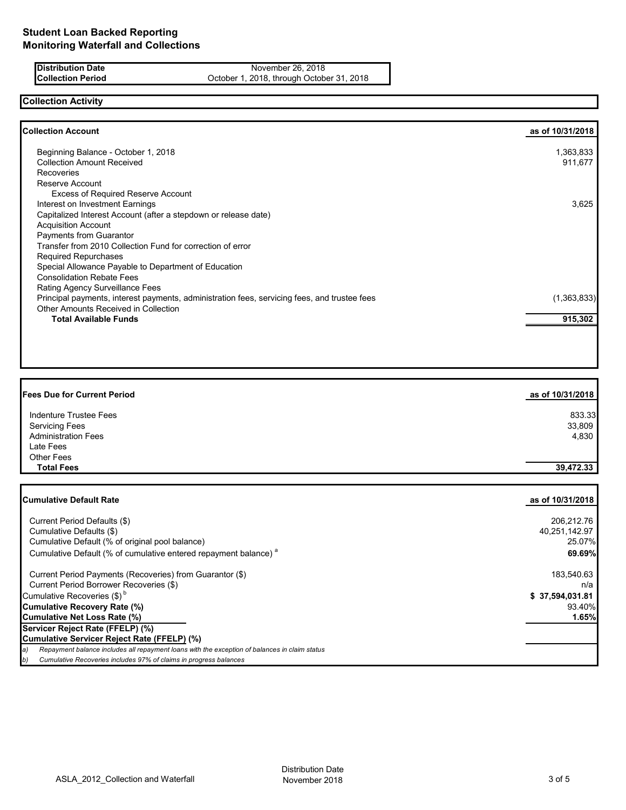**Distribution Date** November 26, 2018<br> **Collection Period** Content October 1, 2018, through October October 1, 2018, through October 31, 2018

# **Collection Activity**

| <b>Collection Account</b>                                                                    | as of 10/31/2018 |
|----------------------------------------------------------------------------------------------|------------------|
| Beginning Balance - October 1, 2018                                                          | 1,363,833        |
| <b>Collection Amount Received</b>                                                            | 911,677          |
| Recoveries                                                                                   |                  |
| Reserve Account                                                                              |                  |
| <b>Excess of Required Reserve Account</b>                                                    |                  |
| Interest on Investment Earnings                                                              | 3,625            |
| Capitalized Interest Account (after a stepdown or release date)                              |                  |
| <b>Acquisition Account</b>                                                                   |                  |
| <b>Payments from Guarantor</b>                                                               |                  |
| Transfer from 2010 Collection Fund for correction of error                                   |                  |
| <b>Required Repurchases</b>                                                                  |                  |
| Special Allowance Payable to Department of Education                                         |                  |
| <b>Consolidation Rebate Fees</b>                                                             |                  |
| Rating Agency Surveillance Fees                                                              |                  |
| Principal payments, interest payments, administration fees, servicing fees, and trustee fees | (1,363,833)      |
| Other Amounts Received in Collection                                                         |                  |
| <b>Total Available Funds</b>                                                                 | 915,302          |

| <b>Fees Due for Current Period</b> | as of 10/31/2018 |
|------------------------------------|------------------|
| Indenture Trustee Fees             | 833.33           |
| <b>Servicing Fees</b>              | 33,809           |
| <b>Administration Fees</b>         | 4,830            |
| Late Fees                          |                  |
| <b>Other Fees</b>                  |                  |
| <b>Total Fees</b>                  | 39,472.33        |

| Cumulative Default Rate                                                                             | as of 10/31/2018 |
|-----------------------------------------------------------------------------------------------------|------------------|
| Current Period Defaults (\$)                                                                        | 206,212.76       |
| Cumulative Defaults (\$)                                                                            | 40,251,142.97    |
| Cumulative Default (% of original pool balance)                                                     | 25.07%           |
| Cumulative Default (% of cumulative entered repayment balance) <sup>a</sup>                         | 69.69%           |
| Current Period Payments (Recoveries) from Guarantor (\$)                                            | 183,540.63       |
| Current Period Borrower Recoveries (\$)                                                             | n/a              |
| Cumulative Recoveries $(\$)^b$                                                                      | \$37,594,031.81  |
| Cumulative Recovery Rate (%)                                                                        | 93.40%           |
| Cumulative Net Loss Rate (%)                                                                        | 1.65%            |
| Servicer Reject Rate (FFELP) (%)                                                                    |                  |
| Cumulative Servicer Reject Rate (FFELP) (%)                                                         |                  |
| Repayment balance includes all repayment loans with the exception of balances in claim status<br>a) |                  |
| Cumulative Recoveries includes 97% of claims in progress balances<br>b)                             |                  |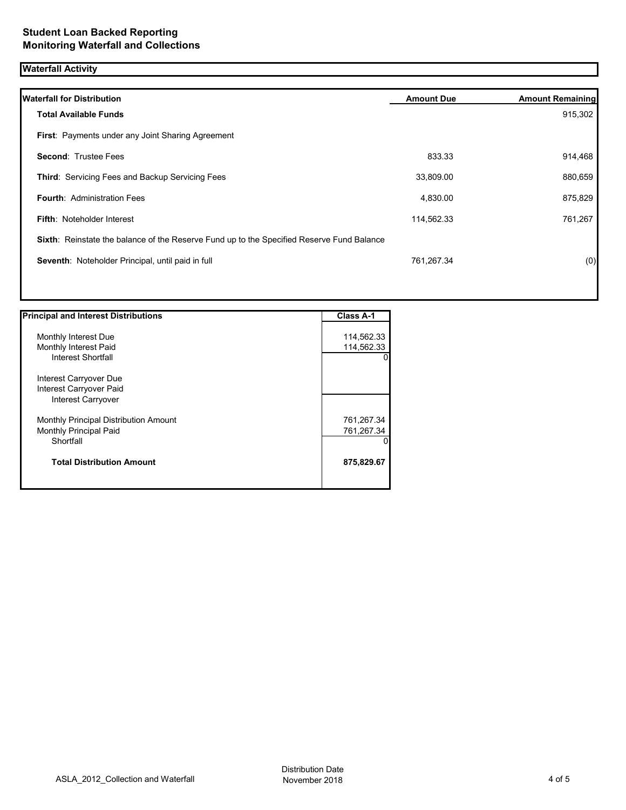## **Waterfall Activity**

| <b>Waterfall for Distribution</b>                                                         | <b>Amount Due</b> | <b>Amount Remaining</b> |
|-------------------------------------------------------------------------------------------|-------------------|-------------------------|
| <b>Total Available Funds</b>                                                              |                   | 915,302                 |
| <b>First: Payments under any Joint Sharing Agreement</b>                                  |                   |                         |
| <b>Second: Trustee Fees</b>                                                               | 833.33            | 914,468                 |
| Third: Servicing Fees and Backup Servicing Fees                                           | 33,809.00         | 880,659                 |
| <b>Fourth: Administration Fees</b>                                                        | 4,830.00          | 875,829                 |
| <b>Fifth: Noteholder Interest</b>                                                         | 114,562.33        | 761,267                 |
| Sixth: Reinstate the balance of the Reserve Fund up to the Specified Reserve Fund Balance |                   |                         |
| Seventh: Noteholder Principal, until paid in full                                         | 761,267.34        | (0)                     |
|                                                                                           |                   |                         |

| <b>Principal and Interest Distributions</b> | <b>Class A-1</b> |
|---------------------------------------------|------------------|
|                                             |                  |
| Monthly Interest Due                        | 114,562.33       |
| Monthly Interest Paid                       | 114,562.33       |
| Interest Shortfall                          |                  |
| Interest Carryover Due                      |                  |
| Interest Carryover Paid                     |                  |
| Interest Carryover                          |                  |
| Monthly Principal Distribution Amount       | 761,267.34       |
| <b>Monthly Principal Paid</b>               | 761,267.34       |
| Shortfall                                   |                  |
| <b>Total Distribution Amount</b>            | 875,829.67       |
|                                             |                  |
|                                             |                  |